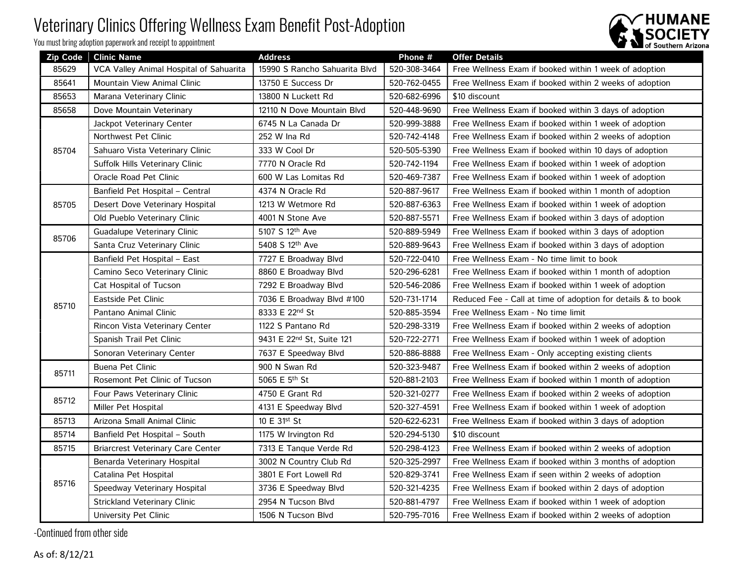## Veterinary Clinics Offering Wellness Exam Benefit Post-Adoption

You must bring adoption paperwork and receipt to appointment



| <b>Zip Code</b> | <b>Clinic Name</b>                       | Address                       | Phone #      | <b>Offer Details</b>                                         |
|-----------------|------------------------------------------|-------------------------------|--------------|--------------------------------------------------------------|
| 85629           | VCA Valley Animal Hospital of Sahuarita  | 15990 S Rancho Sahuarita Blvd | 520-308-3464 | Free Wellness Exam if booked within 1 week of adoption       |
| 85641           | Mountain View Animal Clinic              | 13750 E Success Dr            | 520-762-0455 | Free Wellness Exam if booked within 2 weeks of adoption      |
| 85653           | Marana Veterinary Clinic                 | 13800 N Luckett Rd            | 520-682-6996 | \$10 discount                                                |
| 85658           | Dove Mountain Veterinary                 | 12110 N Dove Mountain Blvd    | 520-448-9690 | Free Wellness Exam if booked within 3 days of adoption       |
| 85704           | Jackpot Veterinary Center                | 6745 N La Canada Dr           | 520-999-3888 | Free Wellness Exam if booked within 1 week of adoption       |
|                 | Northwest Pet Clinic                     | 252 W Ina Rd                  | 520-742-4148 | Free Wellness Exam if booked within 2 weeks of adoption      |
|                 | Sahuaro Vista Veterinary Clinic          | 333 W Cool Dr                 | 520-505-5390 | Free Wellness Exam if booked within 10 days of adoption      |
|                 | Suffolk Hills Veterinary Clinic          | 7770 N Oracle Rd              | 520-742-1194 | Free Wellness Exam if booked within 1 week of adoption       |
|                 | Oracle Road Pet Clinic                   | 600 W Las Lomitas Rd          | 520-469-7387 | Free Wellness Exam if booked within 1 week of adoption       |
| 85705           | Banfield Pet Hospital - Central          | 4374 N Oracle Rd              | 520-887-9617 | Free Wellness Exam if booked within 1 month of adoption      |
|                 | Desert Dove Veterinary Hospital          | 1213 W Wetmore Rd             | 520-887-6363 | Free Wellness Exam if booked within 1 week of adoption       |
|                 | Old Pueblo Veterinary Clinic             | 4001 N Stone Ave              | 520-887-5571 | Free Wellness Exam if booked within 3 days of adoption       |
| 85706           | <b>Guadalupe Veterinary Clinic</b>       | 5107 S 12th Ave               | 520-889-5949 | Free Wellness Exam if booked within 3 days of adoption       |
|                 | Santa Cruz Veterinary Clinic             | 5408 S 12th Ave               | 520-889-9643 | Free Wellness Exam if booked within 3 days of adoption       |
|                 | Banfield Pet Hospital - East             | 7727 E Broadway Blvd          | 520-722-0410 | Free Wellness Exam - No time limit to book                   |
|                 | Camino Seco Veterinary Clinic            | 8860 E Broadway Blvd          | 520-296-6281 | Free Wellness Exam if booked within 1 month of adoption      |
|                 | Cat Hospital of Tucson                   | 7292 E Broadway Blvd          | 520-546-2086 | Free Wellness Exam if booked within 1 week of adoption       |
|                 | Eastside Pet Clinic                      | 7036 E Broadway Blvd #100     | 520-731-1714 | Reduced Fee - Call at time of adoption for details & to book |
| 85710           | Pantano Animal Clinic                    | 8333 E 22 <sup>nd</sup> St    | 520-885-3594 | Free Wellness Exam - No time limit                           |
|                 | Rincon Vista Veterinary Center           | 1122 S Pantano Rd             | 520-298-3319 | Free Wellness Exam if booked within 2 weeks of adoption      |
|                 | Spanish Trail Pet Clinic                 | 9431 E 22nd St, Suite 121     | 520-722-2771 | Free Wellness Exam if booked within 1 week of adoption       |
|                 | Sonoran Veterinary Center                | 7637 E Speedway Blvd          | 520-886-8888 | Free Wellness Exam - Only accepting existing clients         |
| 85711           | Buena Pet Clinic                         | 900 N Swan Rd                 | 520-323-9487 | Free Wellness Exam if booked within 2 weeks of adoption      |
|                 | Rosemont Pet Clinic of Tucson            | 5065 E 5th St                 | 520-881-2103 | Free Wellness Exam if booked within 1 month of adoption      |
| 85712           | Four Paws Veterinary Clinic              | 4750 E Grant Rd               | 520-321-0277 | Free Wellness Exam if booked within 2 weeks of adoption      |
|                 | Miller Pet Hospital                      | 4131 E Speedway Blvd          | 520-327-4591 | Free Wellness Exam if booked within 1 week of adoption       |
| 85713           | Arizona Small Animal Clinic              | 10 E 31st St                  | 520-622-6231 | Free Wellness Exam if booked within 3 days of adoption       |
| 85714           | Banfield Pet Hospital - South            | 1175 W Irvington Rd           | 520-294-5130 | \$10 discount                                                |
| 85715           | <b>Briarcrest Veterinary Care Center</b> | 7313 E Tangue Verde Rd        | 520-298-4123 | Free Wellness Exam if booked within 2 weeks of adoption      |
| 85716           | Benarda Veterinary Hospital              | 3002 N Country Club Rd        | 520-325-2997 | Free Wellness Exam if booked within 3 months of adoption     |
|                 | Catalina Pet Hospital                    | 3801 E Fort Lowell Rd         | 520-829-3741 | Free Wellness Exam if seen within 2 weeks of adoption        |
|                 | Speedway Veterinary Hospital             | 3736 E Speedway Blvd          | 520-321-4235 | Free Wellness Exam if booked within 2 days of adoption       |
|                 | <b>Strickland Veterinary Clinic</b>      | 2954 N Tucson Blvd            | 520-881-4797 | Free Wellness Exam if booked within 1 week of adoption       |
|                 | University Pet Clinic                    | 1506 N Tucson Blvd            | 520-795-7016 | Free Wellness Exam if booked within 2 weeks of adoption      |

-Continued from other side